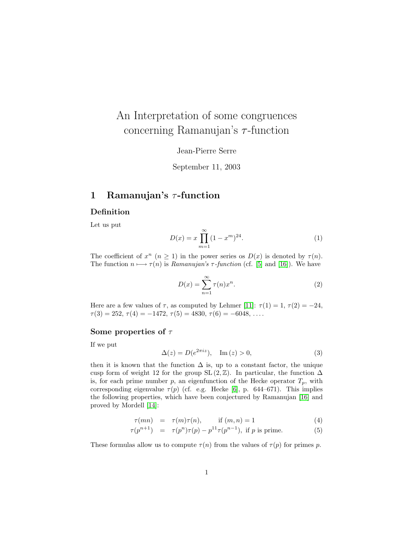# <span id="page-0-1"></span>An Interpretation of some congruences concerning Ramanujan's  $\tau$ -function

Jean-Pierre Serre

September 11, 2003

## 1 Ramanujan's  $\tau$ -function

### Definition

Let us put

$$
D(x) = x \prod_{m=1}^{\infty} (1 - x^m)^{24}.
$$
 (1)

The coefficient of  $x^n$   $(n \ge 1)$  in the power series os  $D(x)$  is denoted by  $\tau(n)$ . The function  $n \mapsto \tau(n)$  is Ramanujan's  $\tau$ -function (cf. [\[5\]](#page-13-0) and [\[16\]](#page-13-1)). We have

$$
D(x) = \sum_{n=1}^{\infty} \tau(n)x^n.
$$
 (2)

Here are a few values of  $\tau$ , as computed by Lehmer [\[11\]](#page-13-2):  $\tau(1) = 1$ ,  $\tau(2) = -24$ ,  $\tau(3) = 252, \tau(4) = -1472, \tau(5) = 4830, \tau(6) = -6048, \ldots$ 

#### Some properties of  $\tau$

If we put

$$
\Delta(z) = D(e^{2\pi i z}), \quad \text{Im}(z) > 0,
$$
\n(3)

then it is known that the function  $\Delta$  is, up to a constant factor, the unique cusp form of weight 12 for the group SL  $(2, \mathbb{Z})$ . In particular, the function  $\Delta$ is, for each prime number p, an eigenfunction of the Hecke operator  $T_p$ , with corresponding eigenvalue  $\tau(p)$  (cf. e.g. Hecke [\[6\]](#page-13-3), p. 644–671). This implies the following properties, which have been conjectured by Ramanujan [\[16\]](#page-13-1) and proved by Mordell [\[14\]](#page-13-4):

<span id="page-0-0"></span>
$$
\tau(mn) = \tau(m)\tau(n), \qquad \text{if } (m,n) = 1 \tag{4}
$$

$$
\tau(p^{n+1}) = \tau(p^n)\tau(p) - p^{11}\tau(p^{n-1}), \text{ if } p \text{ is prime.} \tag{5}
$$

These formulas allow us to compute  $\tau(n)$  from the values of  $\tau(p)$  for primes p.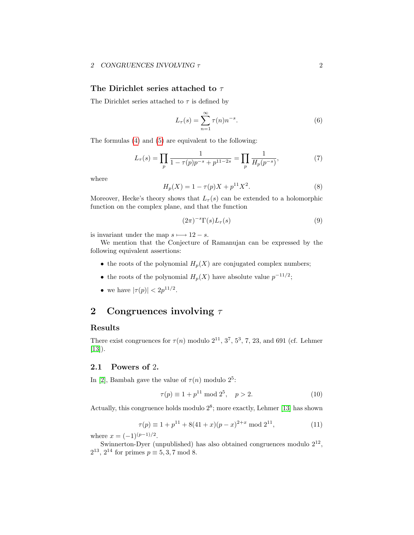#### <span id="page-1-3"></span>2 CONGRUENCES INVOLVING  $\tau$  2

#### The Dirichlet series attached to  $\tau$

<span id="page-1-0"></span>The Dirichlet series attached to  $\tau$  is defined by

$$
L_{\tau}(s) = \sum_{n=1}^{\infty} \tau(n) n^{-s}.
$$
 (6)

The formulas [\(4\)](#page-0-0) and [\(5\)](#page-0-0) are equivalent to the following:

$$
L_{\tau}(s) = \prod_{p} \frac{1}{1 - \tau(p)p^{-s} + p^{11-2s}} = \prod_{p} \frac{1}{H_p(p^{-s})},\tag{7}
$$

where

$$
H_p(X) = 1 - \tau(p)X + p^{11}X^2.
$$
 (8)

Moreover, Hecke's theory shows that  $L_{\tau}(s)$  can be extended to a holomorphic function on the complex plane, and that the function

$$
(2\pi)^{-s}\Gamma(s)L_{\tau}(s)
$$
\n(9)

is invariant under the map  $s \longmapsto 12 - s$ .

We mention that the Conjecture of Ramanujan can be expressed by the following equivalent assertions:

- the roots of the polynomial  $H_p(X)$  are conjugated complex numbers;
- the roots of the polynomial  $H_p(X)$  have absolute value  $p^{-11/2}$ ;
- we have  $|\tau(p)| < 2p^{11/2}$ .

## <span id="page-1-2"></span>2 Congruences involving  $\tau$

#### Results

<span id="page-1-1"></span>There exist congruences for  $\tau(n)$  modulo  $2^{11}$ ,  $3^7$ ,  $5^3$ , 7, 23, and 691 (cf. Lehmer  $[13]$ .

### 2.1 Powers of 2.

In [\[2\]](#page-13-6), Bambah gave the value of  $\tau(n)$  modulo  $2^5$ :

$$
\tau(p) \equiv 1 + p^{11} \bmod 2^5, \quad p > 2.
$$
 (10)

Actually, this congruence holds modulo  $2^8$ ; more exactly, Lehmer [\[13\]](#page-13-5) has shown

$$
\tau(p) \equiv 1 + p^{11} + 8(41 + x)(p - x)^{2+x} \mod 2^{11},\tag{11}
$$

where  $x = (-1)^{(p-1)/2}$ .

Swinnerton-Dyer (unpublished) has also obtained congruences modulo  $2^{12}$ ,  $2^{13}$ ,  $2^{14}$  for primes  $p \equiv 5, 3, 7 \mod 8$ .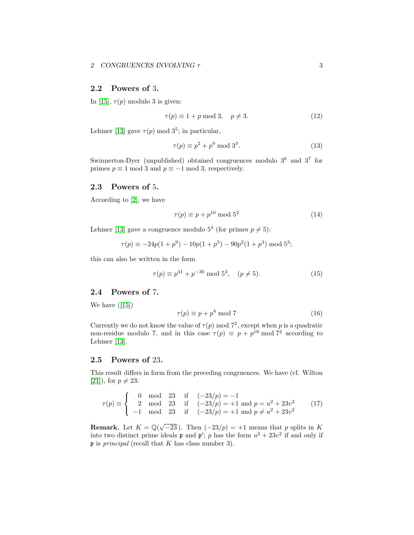### <span id="page-2-1"></span>2.2 Powers of 3.

In [\[15\]](#page-13-7),  $\tau(p)$  modulo 3 is given:

$$
\tau(p) \equiv 1 + p \mod 3, \quad p \neq 3. \tag{12}
$$

Lehmer [\[13\]](#page-13-5) gave  $\tau(p) \mod 3^5$ ; in particular,

$$
\tau(p) \equiv p^2 + p^9 \mod 3^3. \tag{13}
$$

Swinnerton-Dyer (unpublished) obtained congruences modulo  $3^6$  and  $3^7$  for primes  $p \equiv 1 \mod 3$  and  $p \equiv -1 \mod 3$ , respectively.

#### 2.3 Powers of 5.

According to [\[2\]](#page-13-6), we have

$$
\tau(p) \equiv p + p^{10} \bmod 5^2 \tag{14}
$$

Lehmer [\[13\]](#page-13-5) gave a congruence modulo  $5^3$  (for primes  $p \neq 5$ ):

$$
\tau(p) \equiv -24p(1+p^9) - 10p(1+p^5) - 90p^2(1+p^3) \bmod 5^3;
$$

this can also be written in the form

$$
\tau(p) \equiv p^{41} + p^{-30} \mod 5^3, \quad (p \neq 5). \tag{15}
$$

## 2.4 Powers of 7.

Wehave  $([15])$  $([15])$  $([15])$ 

$$
\tau(p) \equiv p + p^4 \mod 7 \tag{16}
$$

Currently we do not know the value of  $\tau(p)$  mod  $7^2$ , except when p is a quadratic non-residue modulo 7, and in this case  $\tau(p) \equiv p + p^{10} \mod 7^2$  according to Lehmer [\[13\]](#page-13-5).

#### 2.5 Powers of 23.

This result differs in form from the preceding congruences. We have (cf. Wilton [\[21\]](#page-14-0)), for  $p \neq 23$ :

<span id="page-2-0"></span>
$$
\tau(p) \equiv \begin{cases}\n0 & \text{mod} \quad 23 \quad \text{if} \quad (-23/p) = -1 \\
2 & \text{mod} \quad 23 \quad \text{if} \quad (-23/p) = +1 \text{ and } p = u^2 + 23v^2 \\
-1 & \text{mod} \quad 23 \quad \text{if} \quad (-23/p) = +1 \text{ and } p \neq u^2 + 23v^2\n\end{cases}
$$
\n(17)

**Remark.** Let  $K = \mathbb{Q}(\sqrt{-23})$ . Then  $(-23/p) = +1$  means that p splits in K into two distinct prime ideals **p** and **p'**; p has the form  $u^2 + 23v^2$  if and only if  $\mathfrak p$  is *principal* (recall that K has class number 3).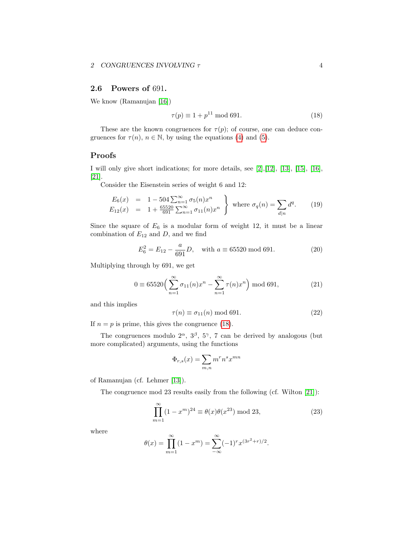### <span id="page-3-1"></span>2.6 Powers of 691.

We know (Ramanujan [\[16\]](#page-13-1))

<span id="page-3-0"></span>
$$
\tau(p) \equiv 1 + p^{11} \bmod{691}.\tag{18}
$$

These are the known congruences for  $\tau(p)$ ; of course, one can deduce congruences for  $\tau(n)$ ,  $n \in \mathbb{N}$ , by using the equations [\(4\)](#page-0-0) and [\(5\)](#page-0-0).

### Proofs

I will only give short indications; for more details, see [\[2\]](#page-13-6),[\[12\]](#page-13-8), [\[13\]](#page-13-5), [\[15\]](#page-13-7), [\[16\]](#page-13-1), [\[21\]](#page-14-0).

Consider the Eisenstein series of weight 6 and 12:

$$
E_6(x) = 1 - 504 \sum_{n=1}^{\infty} \sigma_5(n) x^n
$$
  
\n
$$
E_{12}(x) = 1 + \frac{65520}{691} \sum_{n=1}^{\infty} \sigma_{11}(n) x^n
$$
 where  $\sigma_q(n) = \sum_{d|n} d^q$ . (19)

Since the square of  $E_6$  is a modular form of weight 12, it must be a linear combination of  $E_{12}$  and  $D$ , and we find

$$
E_6^2 = E_{12} - \frac{a}{691}D, \quad \text{with } a \equiv 65520 \text{ mod } 691. \tag{20}
$$

Multiplying through by 691, we get

$$
0 \equiv 65520 \left( \sum_{n=1}^{\infty} \sigma_{11}(n) x^n - \sum_{n=1}^{\infty} \tau(n) x^n \right) \bmod{691},
$$
 (21)

and this implies

$$
\tau(n) \equiv \sigma_{11}(n) \bmod{691}.\tag{22}
$$

If  $n = p$  is prime, this gives the congruence [\(18\)](#page-3-0).

The congruences modulo  $2^{\alpha}$ ,  $3^{\beta}$ ,  $5^{\gamma}$ , 7 can be derived by analogous (but more complicated) arguments, using the functions

$$
\Phi_{r,s}(x) = \sum_{m,n} m^r n^s x^{mn}
$$

of Ramanujan (cf. Lehmer [\[13\]](#page-13-5)).

The congruence mod 23 results easily from the following (cf. Wilton [\[21\]](#page-14-0)):

$$
\prod_{m=1}^{\infty} (1 - x^m)^{24} \equiv \theta(x)\theta(x^{23}) \bmod 23,
$$
\n(23)

where

$$
\theta(x) = \prod_{m=1}^{\infty} (1 - x^m) = \sum_{-\infty}^{\infty} (-1)^r x^{(3r^2 + r)/2}.
$$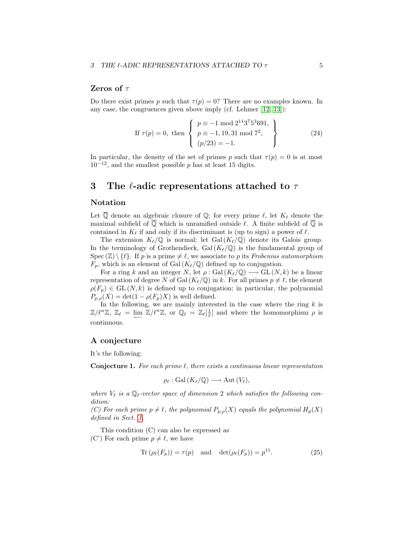#### <span id="page-4-3"></span>Zeros of  $\tau$

<span id="page-4-2"></span>Do there exist primes p such that  $\tau(p) = 0$ ? There are no examples known. In any case, the congruences given above imply (cf. Lehmer [\[12,](#page-13-8) [13\]](#page-13-5)):

If 
$$
\tau(p) = 0
$$
, then 
$$
\begin{cases} p \equiv -1 \mod 2^{11} 3^7 5^3 691, \\ p \equiv -1, 19, 31 \mod 7^2, \\ (p/23) = -1. \end{cases}
$$
 (24)

In particular, the density of the set of primes p such that  $\tau(p) = 0$  is at most  $10^{-12}$ , and the smallest possible p has at least 15 digits.

## 3 The  $\ell$ -adic representations attached to  $\tau$

#### Notation

Let  $\overline{Q}$  denote an algebraic closure of  $\mathbb{Q}$ ; for every prime  $\ell$ , let  $K_{\ell}$  denote the maximal subfield of  $\overline{\mathbb{Q}}$  which is unramified outside  $\ell$ . A finite subfield of  $\overline{\mathbb{Q}}$  is contained in  $K_{\ell}$  if and only if its discriminant is (up to sign) a power of  $\ell$ .

The extension  $K_{\ell}/\mathbb{Q}$  is normal; let Gal $(K_{\ell}/\mathbb{Q})$  denote its Galois group. In the terminology of Grothendieck, Gal $(K_{\ell}/\mathbb{Q})$  is the fundamental group of Spec  $(\mathbb{Z}) \setminus \{\ell\}$ . If p is a prime  $\neq \ell$ , we associate to p its Frobenius automorphism  $F_p$ , which is an element of Gal  $(K_{\ell}/\mathbb{Q})$  defined up to conjugation.

For a ring k and an integer N, let  $\rho : \text{Gal}(K_{\ell}/\mathbb{Q}) \longrightarrow \text{GL}(N, k)$  be a linear representation of degree N of Gal  $(K_{\ell}/\mathbb{Q})$  in k. For all primes  $p \neq \ell$ , the element  $\rho(F_p) \in GL(N, k)$  is defined up to conjugation; in particular, the polynomial  $P_{p,\rho}(X) = \det(1 - \rho(F_p)X)$  is well defined.

In the following, we are mainly interested in the case where the ring  $k$  is  $\mathbb{Z}/\ell^n\mathbb{Z}, \ \mathbb{Z}_\ell = \lim_{\longleftarrow} \ \mathbb{Z}/\ell^n\mathbb{Z}, \text{ or } \mathbb{Q}_\ell = \mathbb{Z}_\ell[\frac{1}{\ell}] \text{ and where the homomorphism } \rho \text{ is }$ continuous.

#### A conjecture

<span id="page-4-1"></span>It's the following:

**Conjecture 1.** For each prime  $\ell$ , there exists a continuous linear representation

$$
\rho_{\ell} : \text{Gal}(K_{\ell}/\mathbb{Q}) \longrightarrow \text{Aut}(V_{\ell}),
$$

where  $V_{\ell}$  is a  $\mathbb{Q}_{\ell}$ -vector space of dimension 2 which satisfies the following condition:

(C) For each prime  $p \neq \ell$ , the polynomial  $P_{p,\rho}(X)$  equals the polynomial  $H_p(X)$ defined in Sect. [1.](#page-1-0)

This condition (C) can also be expressed as

(C') For each prime  $p \neq \ell$ , we have

<span id="page-4-0"></span>
$$
\operatorname{Tr}\left(\rho_{\ell}(F_p)\right) = \tau(p) \quad \text{and} \quad \det(\rho_{\ell}(F_p)) = p^{11}.
$$
 (25)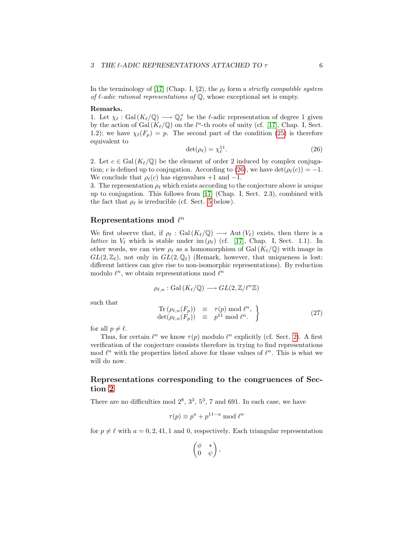<span id="page-5-1"></span>In the terminology of [\[17\]](#page-13-9) (Chap. I, §2), the  $\rho_{\ell}$  form a strictly compatible system of  $\ell$ -adic rational representations of  $\mathbb Q$ , whose exceptional set is empty.

#### Remarks.

<span id="page-5-0"></span>1. Let  $\chi_{\ell} : \text{Gal}(K_{\ell}/\mathbb{Q}) \longrightarrow \mathbb{Q}_{\ell}^{\times}$  be the  $\ell$ -adic representation of degree 1 given by the action of Gal  $(K_{\ell}/\mathbb{Q})$  on the  $l^n$ -th roots of unity (cf. [\[17\]](#page-13-9), Chap. I, Sect. 1.2); we have  $\chi_{\ell}(F_p) = p$ . The second part of the condition [\(25\)](#page-4-0) is therefore equivalent to

$$
\det(\rho_\ell) = \chi_\ell^{11}.\tag{26}
$$

2. Let  $c \in \text{Gal}(K_{\ell}/\mathbb{Q})$  be the element of order 2 induced by complex conjuga-tion; c is defined up to conjugation. According to [\(26\)](#page-5-0), we have det $(\rho_{\ell}(c)) = -1$ . We conclude that  $\rho_{\ell}(c)$  has eigenvalues +1 and -1.

3. The representation  $\rho_{\ell}$  which exists according to the conjecture above is *unique* up to conjugation. This follows from [\[17\]](#page-13-9) (Chap. I, Sect. 2.3), combined with the fact that  $\rho_{\ell}$  is irreducible (cf. Sect. [5](#page-9-0) below).

## Representations mod  $\ell^n$

We first observe that, if  $\rho_{\ell} : \text{Gal}(K_{\ell}/\mathbb{Q}) \longrightarrow \text{Aut}(V_{\ell})$  exists, then there is a *lattice* in  $V_\ell$  which is stable under im ( $\rho_\ell$ ) (cf. [\[17\]](#page-13-9), Chap. I, Sect. 1.1). In other words, we can view  $\rho_{\ell}$  as a homomorphism of Gal  $(K_{\ell}/\mathbb{Q})$  with image in  $GL(2,\mathbb{Z}_\ell)$ , not only in  $GL(2,\mathbb{Q}_\ell)$  (Remark, however, that uniqueness is lost: different lattices can give rise to non-isomorphic representations). By reduction modulo  $\ell^n$ , we obtain representations mod  $\ell^n$ 

$$
\rho_{\ell,n}: \operatorname{Gal}\left(K_{\ell}/\mathbb{Q}\right) \longrightarrow GL(2,\mathbb{Z}/\ell^n\mathbb{Z})
$$

such that

$$
\begin{array}{rcl}\n\operatorname{Tr}\left(\rho_{\ell,n}(F_p)\right) & \equiv & \tau(p) \bmod \ell^n, \\
\det(\rho_{\ell,n}(F_p)) & \equiv & p^{11} \bmod \ell^n.\n\end{array} \tag{27}
$$

for all  $p \neq \ell$ .

Thus, for certain  $\ell^n$  we know  $\tau(p)$  modulo  $\ell^n$  explicitly (cf. Sect. [2\)](#page-1-1). A first verification of the conjecture consists therefore in trying to find representations mod  $\ell^n$  with the properties listed above for those values of  $\ell^n$ . This is what we will do now.

## Representations corresponding to the congruences of Section [2](#page-1-2)

There are no difficulties mod  $2^8$ ,  $3^3$ ,  $5^3$ , 7 and 691. In each case, we have

$$
\tau(p) \equiv p^a + p^{11-a} \bmod \ell^n
$$

for  $p \neq \ell$  with  $a = 0, 2, 41, 1$  and 0, respectively. Each triangular representation

$$
\begin{pmatrix} \phi & * \\ 0 & \psi \end{pmatrix},
$$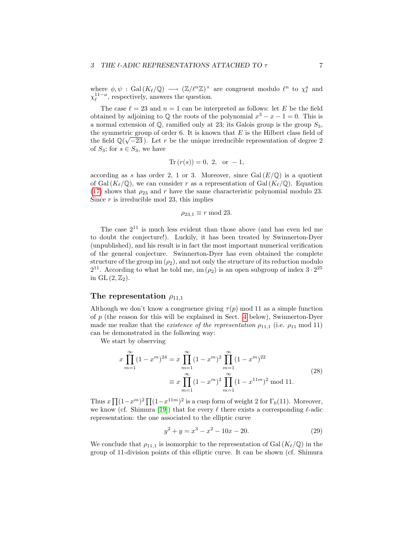#### <span id="page-6-1"></span>3 THE  $\ell$ -ADIC REPRESENTATIONS ATTACHED TO  $\tau$  7

where  $\phi, \psi$ : Gal $(K_{\ell}/\mathbb{Q}) \longrightarrow (\mathbb{Z}/\ell^n\mathbb{Z})^{\times}$  are congruent modulo  $\ell^n$  to  $\chi_{\ell}^a$  and  $\chi_{\ell}^{11-a}$ , respectively, answers the question.

The case  $\ell = 23$  and  $n = 1$  can be interpreted as follows: let E be the field obtained by adjoining to  $\mathbb Q$  the roots of the polynomial  $x^3 - x - 1 = 0$ . This is a normal extension of  $\mathbb{Q}$ , ramified only at 23; its Galois group is the group  $S_3$ , the symmetric group of order 6. It is known that E is the Hilbert class field of the field  $\mathbb{Q}(\sqrt{-23})$ . Let r be the unique irreducible representation of degree 2 of  $S_3$ ; for  $s \in S_3$ , we have

$$
Tr (r(s)) = 0, 2, or -1,
$$

according as s has order 2, 1 or 3. Moreover, since  $Gal(E/\mathbb{Q})$  is a quotient of Gal  $(K_{\ell}/\mathbb{Q})$ , we can consider r as a representation of Gal  $(K_{\ell}/\mathbb{Q})$ . Equation [\(17\)](#page-2-0) shows that  $\rho_{23}$  and r have the same characteristic polynomial modulo 23. Since  $r$  is irreducible mod 23, this implies

$$
\rho_{23,1} \equiv r \bmod 23.
$$

The case  $2^{11}$  is much less evident than those above (and has even led me to doubt the conjecture!). Luckily, it has been treated by Swinnerton-Dyer (unpublished), and his result is in fact the most important numerical verification of the general conjecture. Swinnerton-Dyer has even obtained the complete structure of the group im  $(\rho_2)$ , and not only the structure of its reduction modulo  $2^{11}$ . According to what he told me, im  $(\rho_2)$  is an open subgroup of index  $3 \cdot 2^{25}$ in GL  $(2,\mathbb{Z}_2)$ .

### The representation  $\rho_{11,1}$

<span id="page-6-0"></span>Although we don't know a congruence giving  $\tau(p)$  mod 11 as a simple function of p (the reason for this will be explained in Sect. [4](#page-8-0) below), Swinnerton-Dyer made me realize that the *existence of the representation*  $\rho_{11,1}$  (i.e.  $\rho_{11}$  mod 11) can be demonstrated in the following way:

We start by observing

$$
x \prod_{m=1}^{\infty} (1 - x^m)^{24} = x \prod_{m=1}^{\infty} (1 - x^m)^2 \prod_{m=1}^{\infty} (1 - x^m)^{22}
$$
  

$$
\equiv x \prod_{m=1}^{\infty} (1 - x^m)^2 \prod_{m=1}^{\infty} (1 - x^{11m})^2 \text{ mod } 11.
$$
 (28)

Thus  $x \prod (1-x^m)^2 \prod (1-x^{11m})^2$  is a cusp form of weight 2 for  $\Gamma_0(11)$ . Moreover, we know (cf. Shimura [\[19\]](#page-14-1)) that for every  $\ell$  there exists a corresponding  $\ell$ -adic representation: the one associated to the elliptic curve

$$
y^2 + y = x^3 - x^2 - 10x - 20.
$$
 (29)

We conclude that  $\rho_{11,1}$  is isomorphic to the representation of Gal  $(K_{\ell}/\mathbb{Q})$  in the group of 11-division points of this elliptic curve. It can be shown (cf. Shimura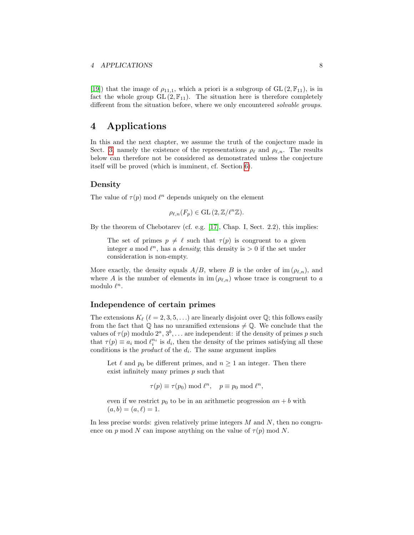<span id="page-7-0"></span>[\[19\]](#page-14-1)) that the image of  $\rho_{11,1}$ , which a priori is a subgroup of  $GL(2, \mathbb{F}_{11})$ , is in fact the whole group  $GL(2, \mathbb{F}_{11})$ . The situation here is therefore completely different from the situation before, where we only encountered solvable groups.

## 4 Applications

In this and the next chapter, we assume the truth of the conjecture made in Sect. [3,](#page-4-1) namely the existence of the representations  $\rho_{\ell}$  and  $\rho_{\ell,n}$ . The results below can therefore not be considered as demonstrated unless the conjecture itself will be proved (which is imminent, cf. Section [6\)](#page-11-0).

#### Density

The value of  $\tau(p)$  mod  $\ell^n$  depends uniquely on the element

$$
\rho_{\ell,n}(F_p) \in \mathrm{GL}(2,\mathbb{Z}/\ell^n\mathbb{Z}).
$$

By the theorem of Chebotarev (cf. e.g. [\[17\]](#page-13-9), Chap. I, Sect. 2.2), this implies:

The set of primes  $p \neq \ell$  such that  $\tau(p)$  is congruent to a given integer a mod  $\ell^n$ , has a *density*; this density is  $> 0$  if the set under consideration is non-empty.

More exactly, the density equals  $A/B$ , where B is the order of im  $(\rho_{\ell,n})$ , and where A is the number of elements in  $\text{im } (\rho_{\ell,n})$  whose trace is congruent to a modulo  $\ell^n$ .

#### Independence of certain primes

The extensions  $K_{\ell}$  ( $\ell = 2, 3, 5, \ldots$ ) are linearly disjoint over  $\mathbb{Q}$ ; this follows easily from the fact that  $\mathbb Q$  has no unramified extensions  $\neq \mathbb Q$ . We conclude that the values of  $\tau(p)$  modulo  $2^a, 3^b, \ldots$  are independent: if the density of primes p such that  $\tau(p) \equiv a_i \mod l_i^{n_i}$  is  $d_i$ , then the density of the primes satisfying all these conditions is the *product* of the  $d_i$ . The same argument implies

Let  $\ell$  and  $p_0$  be different primes, and  $n \geq 1$  an integer. Then there exist infinitely many primes  $p$  such that

$$
\tau(p) \equiv \tau(p_0) \bmod \ell^n, \quad p \equiv p_0 \bmod \ell^n,
$$

even if we restrict  $p_0$  to be in an arithmetic progression  $an + b$  with  $(a, b) = (a, \ell) = 1.$ 

In less precise words: given relatively prime integers  $M$  and  $N$ , then no congruence on p mod N can impose anything on the value of  $\tau(p)$  mod N.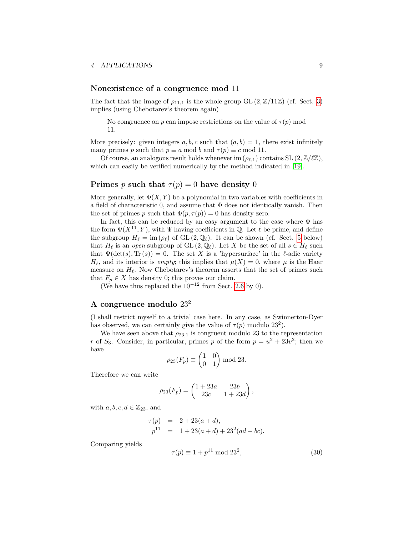#### <span id="page-8-1"></span>Nonexistence of a congruence mod 11

<span id="page-8-0"></span>The fact that the image of  $\rho_{11,1}$  is the whole group GL  $(2,\mathbb{Z}/11\mathbb{Z})$  (cf. Sect. [3\)](#page-6-0) implies (using Chebotarev's theorem again)

No congruence on p can impose restrictions on the value of  $\tau(p)$  mod 11.

More precisely: given integers a, b, c such that  $(a, b) = 1$ , there exist infinitely many primes p such that  $p \equiv a \mod b$  and  $\tau(p) \equiv c \mod 11$ .

Of course, an analogous result holds whenever im  $(\rho_{\ell,1})$  contains SL  $(2,\mathbb{Z}/\ell\mathbb{Z}),$ which can easily be verified numerically by the method indicated in [\[19\]](#page-14-1).

#### Primes p such that  $\tau(p) = 0$  have density 0

More generally, let  $\Phi(X, Y)$  be a polynomial in two variables with coefficients in a field of characteristic 0, and assume that  $\Phi$  does not identically vanish. Then the set of primes p such that  $\Phi(p, \tau(p)) = 0$  has density zero.

In fact, this can be reduced by an easy argument to the case where  $\Phi$  has the form  $\Psi(X^{11}, Y)$ , with  $\Psi$  having coefficients in  $\mathbb Q$ . Let  $\ell$  be prime, and define the subgroup  $H_\ell = \text{im} (\rho_\ell)$  of GL  $(2, \mathbb{Q}_\ell)$ . It can be shown (cf. Sect. [5](#page-9-0) below) that  $H_\ell$  is an open subgroup of  $GL(2, \mathbb{Q}_\ell)$ . Let X be the set of all  $s \in H_\ell$  such that  $\Psi(\det(s), \text{Tr}(s)) = 0$ . The set X is a 'hypersurface' in the  $\ell$ -adic variety  $H_{\ell}$ , and its interior is *empty*; this implies that  $\mu(X) = 0$ , where  $\mu$  is the Haar measure on  $H_{\ell}$ . Now Chebotarev's theorem asserts that the set of primes such that  $F_p \in X$  has density 0; this proves our claim.

(We have thus replaced the  $10^{-12}$  from Sect. [2.6](#page-4-2) by 0).

### A congruence modulo 23<sup>2</sup>

(I shall restrict myself to a trivial case here. In any case, as Swinnerton-Dyer has observed, we can certainly give the value of  $\tau(p)$  modulo  $23^2$ ).

We have seen above that  $\rho_{23,1}$  is congruent modulo 23 to the representation r of  $S_3$ . Consider, in particular, primes p of the form  $p = u^2 + 23v^2$ ; then we have

$$
\rho_{23}(F_p) \equiv \begin{pmatrix} 1 & 0 \\ 0 & 1 \end{pmatrix} \bmod 23.
$$

Therefore we can write

$$
\rho_{23}(F_p) = \begin{pmatrix} 1+23a & 23b \\ 23c & 1+23d \end{pmatrix},
$$

with  $a, b, c, d \in \mathbb{Z}_{23}$ , and

$$
\tau(p) = 2 + 23(a + d), \np^{11} = 1 + 23(a + d) + 23^{2}(ad - bc).
$$

Comparing yields

$$
\tau(p) \equiv 1 + p^{11} \bmod 23^2,\tag{30}
$$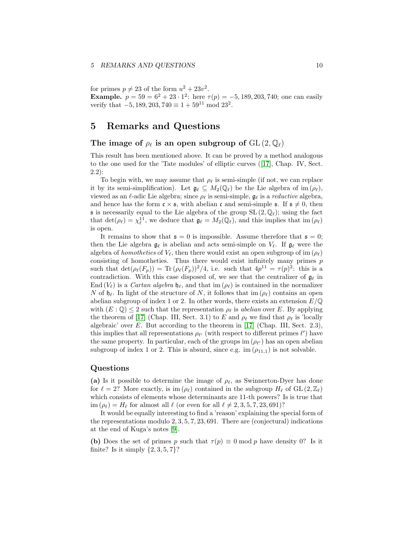#### <span id="page-9-1"></span>5 REMARKS AND QUESTIONS 10

for primes  $p \neq 23$  of the form  $u^2 + 23v^2$ .

**Example.**  $p = 59 = 6^2 + 23 \cdot 1^2$ : here  $\tau(p) = -5, 189, 203, 740$ ; one can easily verify that  $-5$ , 189, 203, 740  $\equiv 1 + 59^{11}$  mod 23<sup>2</sup>.

## 5 Remarks and Questions

#### The image of  $\rho_{\ell}$  is an open subgroup of  $GL(2,\mathbb{Q}_{\ell})$

<span id="page-9-0"></span>This result has been mentioned above. It can be proved by a method analogous to the one used for the 'Tate modules' of elliptic curves([\[17\]](#page-13-9), Chap. IV, Sect. 2.2):

To begin with, we may assume that  $\rho_{\ell}$  is semi-simple (if not, we can replace it by its semi-simplification). Let  $\mathfrak{g}_{\ell} \subseteq M_2(\mathbb{Q}_{\ell})$  be the Lie algebra of im  $(\rho_{\ell}),$ viewed as an  $\ell$ -adic Lie algebra; since  $\rho_{\ell}$  is semi-simple,  $\mathfrak{g}_{\ell}$  is a *reductive* algebra, and hence has the form  $\mathfrak{c} \times \mathfrak{s}$ , with abelian  $\mathfrak{c}$  and semi-simple  $\mathfrak{s}$ . If  $\mathfrak{s} \neq 0$ , then s is necessarily equal to the Lie algebra of the group  $SL(2,\mathbb{Q}_\ell);$  using the fact that  $\det(\rho_\ell) = \chi_\ell^{11}$ , we deduce that  $\mathfrak{g}_\ell = M_2(\mathbb{Q}_\ell)$ , and this implies that im  $(\rho_\ell)$ is open.

It remains to show that  $\mathfrak{s} = 0$  is impossible. Assume therefore that  $\mathfrak{s} = 0$ ; then the Lie algebra  $g_\ell$  is abelian and acts semi-simple on  $V_\ell$ . If  $g_\ell$  were the algebra of homotheties of  $V_{\ell}$ , then there would exist an open subgroup of im  $(\rho_{\ell})$ consisting of homotheties. Thus there would exist infinitely many primes  $p$ such that  $\det(\rho_\ell(F_p)) = \text{Tr}(\rho_\ell(F_p))^2/4$ , i.e. such that  $4p^{11} = \tau(p)^2$ : this is a contradiction. With this case disposed of, we see that the centralizer of  $\mathfrak{g}_\ell$  in End  $(V_\ell)$  is a *Cartan algebra*  $\mathfrak{h}_\ell$ , and that im  $(\rho_\ell)$  is contained in the normalizer N of  $\mathfrak{h}_{\ell}$ . In light of the structure of N, it follows that im  $(\rho_{\ell})$  contains an open abelian subgroup of index 1 or 2. In other words, there exists an extension  $E/\mathbb{Q}$ with  $(E: \mathbb{Q}) \leq 2$  such that the representation  $\rho_{\ell}$  is abelian over E. By applying the theorem of [\[17\]](#page-13-9) (Chap. III, Sect. 3.1) to E and  $\rho_{\ell}$  we find that  $\rho_{\ell}$  is 'locally algebraic' over E. But according to the theorem in  $[17]$  (Chap. III, Sect. 2.3), this implies that all representations  $\rho_{\ell'}$  (with respect to different primes  $\ell'$ ) have the same property. In particular, each of the groups im  $(\rho_{\ell'})$  has an open abelian subgroup of index 1 or 2. This is absurd, since e.g. im  $(\rho_{11,1})$  is not solvable.

#### Questions

(a) Is it possible to determine the image of  $\rho_{\ell}$ , as Swinnerton-Dyer has done for  $\ell = 2$ ? More exactly, is im  $(\rho_{\ell})$  contained in the subgroup  $H_{\ell}$  of GL  $(2,\mathbb{Z}_{\ell})$ which consists of elements whose determinants are 11-th powers? Is is true that im  $(\rho_\ell) = H_\ell$  for almost all  $\ell$  (or even for all  $\ell \neq 2, 3, 5, 7, 23, 691$ )?

It would be equally interesting to find a 'reason' explaining the special form of the representations modulo  $2, 3, 5, 7, 23, 691$ . There are (conjectural) indications at the end of Kuga's notes [\[9\]](#page-13-10).

(b) Does the set of primes p such that  $\tau(p) \equiv 0 \mod p$  have density 0? Is it finite? Is it simply  $\{2, 3, 5, 7\}$ ?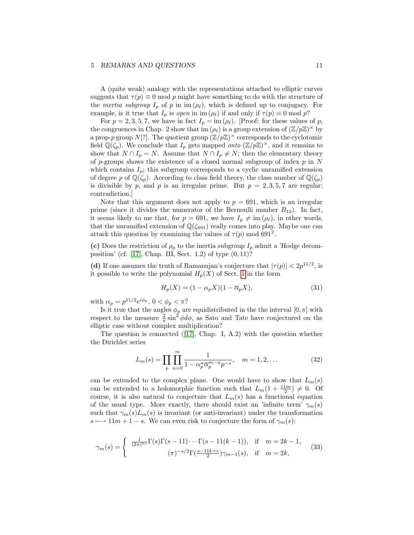#### <span id="page-10-0"></span>5 REMARKS AND QUESTIONS 11

A (quite weak) analogy with the representations attached to elliptic curves suggests that  $\tau(p) \equiv 0 \mod p$  might have something to do with the structure of the *inertia subgroup*  $I_p$  of p in im  $(\rho_\ell)$ , which is defined up to conjugacy. For example, is it true that  $I_p$  is *open* in im  $(\rho_\ell)$  if and only if  $\tau(p) \equiv 0 \mod p$ ?

For  $p = 2, 3, 5, 7$ , we have in fact  $I_p = \text{im } (\rho_\ell)$ . [Proof: for these values of p, the congruences in Chap. 2 show that  $\operatorname{im}(\rho_\ell)$  is a group extension of  $(\mathbb{Z}/p\mathbb{Z})^\times$  by a prop-p group N[?]. The quotient group  $(\mathbb{Z}/p\mathbb{Z})^{\times}$  corresponds to the cyclotomic field  $\mathbb{Q}(\zeta_p)$ . We conclude that  $I_p$  gets mapped *onto*  $(\mathbb{Z}/p\mathbb{Z})^{\times}$ , and it remains to show that  $N \cap I_p = N$ . Assume that  $N \cap I_p \neq N$ ; then the elementary theory of p-groups shows the existence of a closed normal subgroup of index  $p$  in N which contains  $I_p$ ; this subgroup corresponds to a cyclic unramified extension of degree p of  $\mathbb{Q}(\zeta_p)$ . According to class field theory, the class number of  $\mathbb{Q}(\zeta_p)$ is divisible by p, and p is an irregular prime. But  $p = 2, 3, 5, 7$  are regular: contradiction.]

Note that this argument does not apply to  $p = 691$ , which is an irregular prime (since it divides the numerator of the Bernoulli number  $B_{12}$ ). In fact, it seems likely to me that, for  $p = 691$ , we have  $I_p \neq \text{im } (\rho_\ell)$ , in other words, that the unramified extension of  $\mathbb{Q}(\zeta_{691})$  really comes into play. Maybe one can attack this question by examining the values of  $\tau(p)$  mod 691<sup>2</sup>.

(c) Does the restriction of  $\rho_p$  to the inertia subgroup  $I_p$  admit a 'Hodge decom-position' (cf. [\[17\]](#page-13-9), Chap. III, Sect. 1.2) of type  $(0, 11)$ ?

(d) If one assumes the truth of Ramanujan's conjecture that  $|\tau(p)| < 2p^{11/2}$ , is it possible to write the polynomial  $H_p(X)$  of Sect. [1](#page-1-0) in the form

$$
H_p(X) = (1 - \alpha_p X)(1 - \overline{\alpha}_p X),\tag{31}
$$

with  $\alpha_p = p^{11/2} e^{i\phi_p}$ ,  $0 < \phi_p < \pi$ ?

Is it true that the angles  $\phi_p$  are equidistributed in the the interval  $[0, \pi]$  with respect to the measure  $\frac{2}{\pi} \sin^2 \phi d\phi$ , as Sato and Tate have conjectured on the elliptic case without complex multiplication?

Thequestion is connected  $([17],$  $([17],$  $([17],$  Chap. I, A.2) with the question whether the Dirichlet series

$$
L_m(s) = \prod_p \prod_{n=0}^m \frac{1}{1 - \alpha_p^n \overline{\alpha}_p^{m-n} p^{-s}}, \quad m = 1, 2, \dots
$$
 (32)

can be extended to the complex plane. One would have to show that  $L_m(s)$ can be extended to a holomorphic function such that  $L_m(1+\frac{11m}{2}) \neq 0$ . Of course, it is also natural to conjecture that  $L_m(s)$  has a functional equation of the usual type. More exactly, there should exist an 'infinite term'  $\gamma_m(s)$ such that  $\gamma_m(s)L_m(s)$  is invariant (or anti-invariant) under the transformation  $s \mapsto 11m + 1 - s$ . We can even risk to conjecture the form of  $\gamma_m(s)$ :

$$
\gamma_m(s) = \begin{cases} \frac{1}{(2\pi)^{ks}} \Gamma(s) \Gamma(s-11) \cdots \Gamma(s-11(k-1)), & \text{if } m = 2k-1, \\ (\pi)^{-s/2} \Gamma(\frac{s-11k+\epsilon}{2}) \gamma_{m-1}(s), & \text{if } m = 2k, \end{cases}
$$
(33)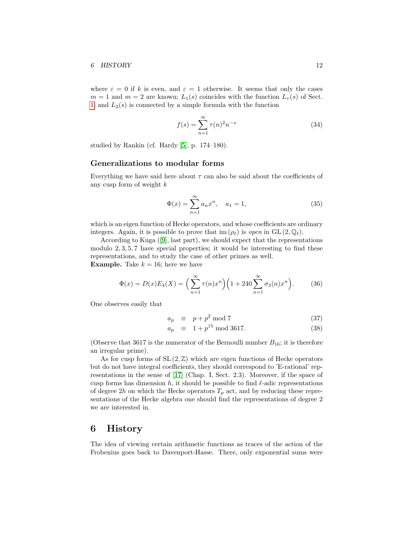<span id="page-11-1"></span>where  $\varepsilon = 0$  if k is even, and  $\varepsilon = 1$  otherwise. It seems that only the cases  $m = 1$  and  $m = 2$  are known;  $L_1(s)$  coincides with the function  $L_7(s)$  of Sect. [1,](#page-1-0) and  $L_2(s)$  is connected by a simple formula with the function

$$
f(s) = \sum_{n=1}^{\infty} \tau(n)^2 n^{-s}
$$
 (34)

studied by Rankin (cf. Hardy [\[5\]](#page-13-0), p. 174–180).

### Generalizations to modular forms

Everything we have said here about  $\tau$  can also be said about the coefficients of any cusp form of weight  $k$ 

$$
\Phi(x) = \sum_{n=1}^{\infty} a_n x^n, \quad a_1 = 1,
$$
\n(35)

which is an eigen function of Hecke operators, and whose coefficients are ordinary integers. Again, it is possible to prove that im  $(\rho_\ell)$  is open in GL  $(2, \mathbb{Q}_\ell)$ .

According to Kuga([\[9\]](#page-13-10), last part), we should expect that the representations modulo 2, 3, 5, 7 have special properties; it would be interesting to find these representations, and to study the case of other primes as well. **Example.** Take  $k = 16$ ; here we have

$$
\Phi(x) = D(x)E_4(X) = \left(\sum_{n=1}^{\infty} \tau(n)x^n\right) \left(1 + 240 \sum_{n=1}^{\infty} \sigma_3(n)x^n\right). \tag{36}
$$

One observes easily that

$$
a_p \equiv p + p^2 \mod 7 \tag{37}
$$

$$
a_p \equiv 1 + p^{15} \mod{3617}.\tag{38}
$$

(Observe that 3617 is the numerator of the Bernoulli number  $B_{16}$ ; it is therefore an irregular prime).

As for cusp forms of  $SL(2, \mathbb{Z})$  which are eigen functions of Hecke operators but do not have integral coefficients, they should correspond to 'E-rational' representations in the sense of [\[17\]](#page-13-9) (Chap. I, Sect. 2.3). Moreover, if the space of cusp forms has dimension h, it should be possible to find  $\ell$ -adic representations of degree 2h on which the Hecke operators  $T_p$  act, and by reducing these representations of the Hecke algebra one should find the representations of degree 2 we are interested in.

## <span id="page-11-0"></span>6 History

The idea of viewing certain arithmetic functions as traces of the action of the Frobenius goes back to Davenport-Hasse. There, only exponential sums were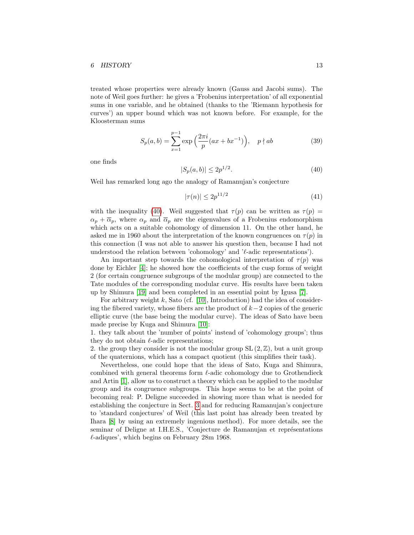#### <span id="page-12-1"></span>6 HISTORY 13

treated whose properties were already known (Gauss and Jacobi sums). The note of Weil goes further: he gives a 'Frobenius interpretation' of all exponential sums in one variable, and he obtained (thanks to the 'Riemann hypothesis for curves') an upper bound which was not known before. For example, for the Kloosterman sums

$$
S_p(a, b) = \sum_{x=1}^{p-1} \exp\left(\frac{2\pi i}{p}(ax + bx^{-1})\right), \quad p \nmid ab \tag{39}
$$

<span id="page-12-0"></span>one finds

$$
|S_p(a,b)| \le 2p^{1/2}.\tag{40}
$$

Weil has remarked long ago the analogy of Ramanujan's conjecture

$$
|\tau(n)| \le 2p^{11/2} \tag{41}
$$

with the inequality [\(40\)](#page-12-0). Weil suggested that  $\tau(p)$  can be written as  $\tau(p)$  =  $\alpha_p + \overline{\alpha}_p$ , where  $\alpha_p$  and  $\overline{\alpha}_p$  are the eigenvalues of a Frobenius endomorphism which acts on a suitable cohomology of dimension 11. On the other hand, he asked me in 1960 about the interpretation of the known congruences on  $\tau(p)$  in this connection (I was not able to answer his question then, because I had not understood the relation between 'cohomology' and ' $\ell$ -adic representations').

An important step towards the cohomological interpretation of  $\tau(p)$  was done by Eichler [\[4\]](#page-13-11); he showed how the coefficients of the cusp forms of weight 2 (for certain congruence subgroups of the modular group) are connected to the Tate modules of the corresponding modular curve. His results have been taken up by Shimura [\[19\]](#page-14-1) and been completed in an essential point by Igusa [\[7\]](#page-13-12).

For arbitrary weight  $k$ , Sato (cf. [\[10\]](#page-13-13), Introduction) had the idea of considering the fibered variety, whose fibers are the product of  $k-2$  copies of the generic elliptic curve (the base being the modular curve). The ideas of Sato have been made precise by Kuga and Shimura [\[10\]](#page-13-13):

1. they talk about the 'number of points' instead of 'cohomology groups'; thus they do not obtain  $\ell$ -adic representations;

2. the group they consider is not the modular group  $SL(2, \mathbb{Z})$ , but a unit group of the quaternions, which has a compact quotient (this simplifies their task).

Nevertheless, one could hope that the ideas of Sato, Kuga and Shimura, combined with general theorems form  $\ell$ -adic cohomology due to Grothendieck and Artin [\[1\]](#page-13-14), allow us to construct a theory which can be applied to the modular group and its congruence subgroups. This hope seems to be at the point of becoming real: P. Deligne succeeded in showing more than what is needed for establishing the conjecture in Sect. [3](#page-4-1) and for reducing Ramanujan's conjecture to 'standard conjectures' of Weil (this last point has already been treated by Ihara [\[8\]](#page-13-15) by using an extremely ingenious method). For more details, see the seminar of Deligne at I.H.E.S., 'Conjecture de Ramanujan et représentations  $\ell$ -adiques', which begins on February 28m 1968.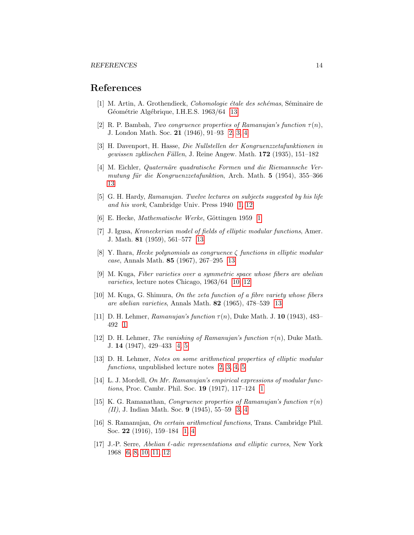## References

- <span id="page-13-14"></span>[1] M. Artin, A. Grothendieck, Cohomologie étale des schémas, Séminaire de Géométrie Algébrique, I.H.E.S. 1963/64 [13](#page-12-1)
- <span id="page-13-6"></span>[2] R. P. Bambah, Two congruence properties of Ramanujan's function  $\tau(n)$ , J. London Math. Soc. 21 (1946), 91–93 [2,](#page-1-3) [3,](#page-2-1) [4](#page-3-1)
- [3] H. Davenport, H. Hasse, Die Nullstellen der Kongruenzzetafunktionen in gewissen zyklischen Fällen, J. Reine Angew. Math.  $172$  (1935), 151–182
- <span id="page-13-11"></span>[4] M. Eichler, *Quaternäre quadratische Formen und die Riemannsche Ver*mutung für die Kongruenzzetafunktion, Arch. Math.  $5$  (1954), 355–366 [13](#page-12-1)
- <span id="page-13-0"></span>[5] G. H. Hardy, Ramanujan. Twelve lectures on subjects suggested by his life and his work, Cambridge Univ. Press 1940 [1,](#page-0-1) [12](#page-11-1)
- <span id="page-13-3"></span>[6] E. Hecke, Mathematische Werke, Göttingen [1](#page-0-1)959 1
- <span id="page-13-12"></span>[7] J. Igusa, Kroneckerian model of fields of elliptic modular functions, Amer. J. Math. 81 (1959), 561–577 [13](#page-12-1)
- <span id="page-13-15"></span>[8] Y. Ihara, Hecke polynomials as congruence  $\zeta$  functions in elliptic modular case, Annals Math. 85 (1967), 267–295 [13](#page-12-1)
- <span id="page-13-10"></span>[9] M. Kuga, Fiber varieties over a symmetric space whose fibers are abelian varieties, lecture notes Chicago, 1963/64 [10,](#page-9-1) [12](#page-11-1)
- <span id="page-13-13"></span>[10] M. Kuga, G. Shimura, On the zeta function of a fibre variety whose fibers are abelian varieties, Annals Math. 82 (1965), 478–539 [13](#page-12-1)
- <span id="page-13-2"></span>[11] D. H. Lehmer, Ramanujan's function  $\tau(n)$ , Duke Math. J. 10 (1943), 483– 492 [1](#page-0-1)
- <span id="page-13-8"></span>[12] D. H. Lehmer, The vanishing of Ramanujan's function  $\tau(n)$ , Duke Math. J. 14 (1947), 429–433 [4,](#page-3-1) [5](#page-4-3)
- <span id="page-13-5"></span>[13] D. H. Lehmer, Notes on some arithmetical properties of elliptic modular functions, unpublished lecture notes [2,](#page-1-3) [3,](#page-2-1) [4,](#page-3-1) [5](#page-4-3)
- <span id="page-13-4"></span>[14] L. J. Mordell, *On Mr. Ramanujan's empirical expressions of modular func*tions, Proc. Cambr. Phil. Soc. 19 (1917), 117–124 [1](#page-0-1)
- <span id="page-13-7"></span>[15] K. G. Ramanathan, Congruence properties of Ramanujan's function  $\tau(n)$ (II), J. Indian Math. Soc. 9 (1945), 55–59 [3,](#page-2-1) [4](#page-3-1)
- <span id="page-13-1"></span>[16] S. Ramanujan, On certain arithmetical functions, Trans. Cambridge Phil. Soc. 22 (1916), 159–184 [1,](#page-0-1) [4](#page-3-1)
- <span id="page-13-9"></span>[17] J.-P. Serre, Abelian  $\ell$ -adic representations and elliptic curves, New York 1968 [6,](#page-5-1) [8,](#page-7-0) [10,](#page-9-1) [11,](#page-10-0) [12](#page-11-1)